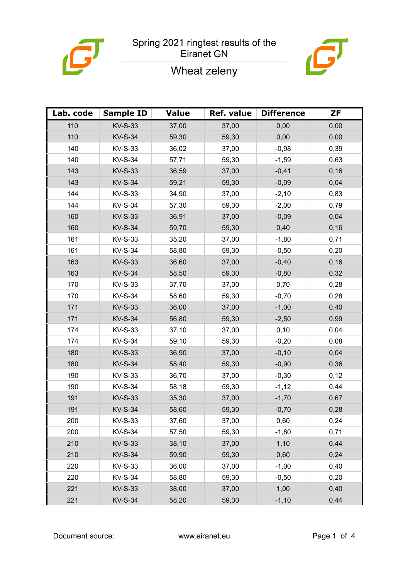





| Lab. code | <b>Sample ID</b> | <b>Value</b> | Ref. value | <b>Difference</b> | <b>ZF</b> |
|-----------|------------------|--------------|------------|-------------------|-----------|
| 110       | <b>KV-S-33</b>   | 37,00        | 37,00      | 0,00              | 0,00      |
| 110       | <b>KV-S-34</b>   | 59,30        | 59,30      | 0,00              | 0,00      |
| 140       | <b>KV-S-33</b>   | 36,02        | 37,00      | $-0,98$           | 0,39      |
| 140       | <b>KV-S-34</b>   | 57,71        | 59,30      | $-1,59$           | 0,63      |
| 143       | <b>KV-S-33</b>   | 36,59        | 37,00      | $-0,41$           | 0, 16     |
| 143       | <b>KV-S-34</b>   | 59,21        | 59,30      | $-0,09$           | 0,04      |
| 144       | KV-S-33          | 34,90        | 37,00      | $-2,10$           | 0,83      |
| 144       | <b>KV-S-34</b>   | 57,30        | 59,30      | $-2,00$           | 0,79      |
| 160       | <b>KV-S-33</b>   | 36,91        | 37,00      | $-0,09$           | 0,04      |
| 160       | <b>KV-S-34</b>   | 59,70        | 59,30      | 0,40              | 0,16      |
| 161       | <b>KV-S-33</b>   | 35,20        | 37,00      | $-1,80$           | 0,71      |
| 161       | <b>KV-S-34</b>   | 58,80        | 59,30      | $-0,50$           | 0,20      |
| 163       | <b>KV-S-33</b>   | 36,60        | 37,00      | $-0,40$           | 0, 16     |
| 163       | <b>KV-S-34</b>   | 58,50        | 59,30      | $-0,80$           | 0,32      |
| 170       | KV-S-33          | 37,70        | 37,00      | 0,70              | 0,28      |
| 170       | <b>KV-S-34</b>   | 58,60        | 59,30      | $-0,70$           | 0,28      |
| 171       | <b>KV-S-33</b>   | 36,00        | 37,00      | $-1,00$           | 0,40      |
| 171       | <b>KV-S-34</b>   | 56,80        | 59,30      | $-2,50$           | 0,99      |
| 174       | KV-S-33          | 37,10        | 37,00      | 0, 10             | 0,04      |
| 174       | <b>KV-S-34</b>   | 59,10        | 59,30      | $-0,20$           | 0,08      |
| 180       | <b>KV-S-33</b>   | 36,90        | 37,00      | $-0,10$           | 0,04      |
| 180       | <b>KV-S-34</b>   | 58,40        | 59,30      | $-0,90$           | 0,36      |
| 190       | <b>KV-S-33</b>   | 36,70        | 37,00      | $-0,30$           | 0,12      |
| 190       | <b>KV-S-34</b>   | 58,18        | 59,30      | $-1,12$           | 0,44      |
| 191       | <b>KV-S-33</b>   | 35,30        | 37,00      | $-1,70$           | 0,67      |
| 191       | <b>KV-S-34</b>   | 58,60        | 59,30      | $-0,70$           | 0,28      |
| 200       | KV-S-33          | 37,60        | 37,00      | 0,60              | 0,24      |
| 200       | <b>KV-S-34</b>   | 57,50        | 59,30      | $-1,80$           | 0,71      |
| 210       | <b>KV-S-33</b>   | 38,10        | 37,00      | 1,10              | 0,44      |
| 210       | <b>KV-S-34</b>   | 59,90        | 59,30      | 0,60              | 0,24      |
| 220       | <b>KV-S-33</b>   | 36,00        | 37,00      | $-1,00$           | 0,40      |
| 220       | <b>KV-S-34</b>   | 58,80        | 59,30      | $-0,50$           | 0,20      |
| 221       | <b>KV-S-33</b>   | 38,00        | 37,00      | 1,00              | 0,40      |
| 221       | <b>KV-S-34</b>   | 58,20        | 59,30      | $-1,10$           | 0,44      |

Document source: www.eiranet.eu Page 1 of 4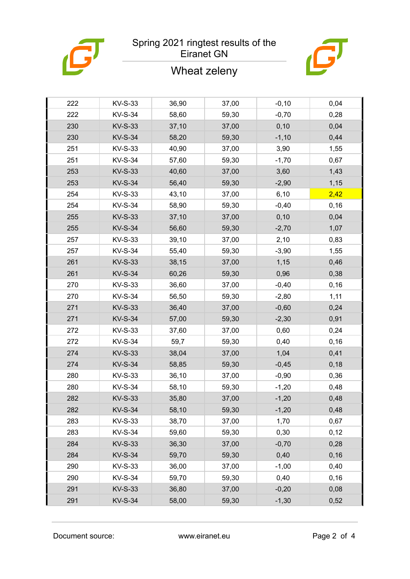

## Spring 2021 ringtest results of the Eiranet GN



|  | Wheat zeleny |
|--|--------------|
|--|--------------|

| 222 | <b>KV-S-33</b> | 36,90 | 37,00 | $-0,10$ | 0,04  |
|-----|----------------|-------|-------|---------|-------|
| 222 | <b>KV-S-34</b> | 58,60 | 59,30 | $-0,70$ | 0,28  |
| 230 | <b>KV-S-33</b> | 37,10 | 37,00 | 0,10    | 0,04  |
| 230 | <b>KV-S-34</b> | 58,20 | 59,30 | $-1,10$ | 0,44  |
| 251 | <b>KV-S-33</b> | 40,90 | 37,00 | 3,90    | 1,55  |
| 251 | <b>KV-S-34</b> | 57,60 | 59,30 | $-1,70$ | 0,67  |
| 253 | <b>KV-S-33</b> | 40,60 | 37,00 | 3,60    | 1,43  |
| 253 | <b>KV-S-34</b> | 56,40 | 59,30 | $-2,90$ | 1,15  |
| 254 | <b>KV-S-33</b> | 43,10 | 37,00 | 6, 10   | 2,42  |
| 254 | <b>KV-S-34</b> | 58,90 | 59,30 | $-0,40$ | 0,16  |
| 255 | <b>KV-S-33</b> | 37,10 | 37,00 | 0,10    | 0,04  |
| 255 | <b>KV-S-34</b> | 56,60 | 59,30 | $-2,70$ | 1,07  |
| 257 | <b>KV-S-33</b> | 39,10 | 37,00 | 2,10    | 0,83  |
| 257 | <b>KV-S-34</b> | 55,40 | 59,30 | $-3,90$ | 1,55  |
| 261 | <b>KV-S-33</b> | 38,15 | 37,00 | 1,15    | 0,46  |
| 261 | <b>KV-S-34</b> | 60,26 | 59,30 | 0,96    | 0,38  |
| 270 | <b>KV-S-33</b> | 36,60 | 37,00 | $-0,40$ | 0, 16 |
| 270 | <b>KV-S-34</b> | 56,50 | 59,30 | $-2,80$ | 1,11  |
| 271 | <b>KV-S-33</b> | 36,40 | 37,00 | $-0,60$ | 0,24  |
| 271 | <b>KV-S-34</b> | 57,00 | 59,30 | $-2,30$ | 0,91  |
| 272 | <b>KV-S-33</b> | 37,60 | 37,00 | 0,60    | 0,24  |
| 272 | <b>KV-S-34</b> | 59,7  | 59,30 | 0,40    | 0,16  |
| 274 | <b>KV-S-33</b> | 38,04 | 37,00 | 1,04    | 0,41  |
| 274 | <b>KV-S-34</b> | 58,85 | 59,30 | $-0,45$ | 0,18  |
| 280 | <b>KV-S-33</b> | 36,10 | 37,00 | $-0,90$ | 0,36  |
| 280 | <b>KV-S-34</b> | 58,10 | 59,30 | $-1,20$ | 0,48  |
| 282 | <b>KV-S-33</b> | 35,80 | 37,00 | $-1,20$ | 0,48  |
| 282 | <b>KV-S-34</b> | 58,10 | 59,30 | $-1,20$ | 0,48  |
| 283 | KV-S-33        | 38,70 | 37,00 | 1,70    | 0,67  |
| 283 | <b>KV-S-34</b> | 59,60 | 59,30 | 0,30    | 0,12  |
| 284 | <b>KV-S-33</b> | 36,30 | 37,00 | $-0,70$ | 0,28  |
| 284 | <b>KV-S-34</b> | 59,70 | 59,30 | 0,40    | 0, 16 |
| 290 | <b>KV-S-33</b> | 36,00 | 37,00 | $-1,00$ | 0,40  |
| 290 | <b>KV-S-34</b> | 59,70 | 59,30 | 0,40    | 0, 16 |
| 291 | <b>KV-S-33</b> | 36,80 | 37,00 | $-0,20$ | 0,08  |
| 291 | <b>KV-S-34</b> | 58,00 | 59,30 | $-1,30$ | 0,52  |
|     |                |       |       |         |       |

Document source: www.eiranet.eu Page 2 of 4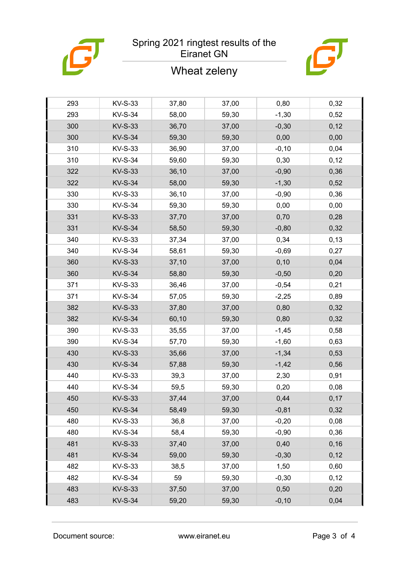

## Spring 2021 ringtest results of the Eiranet GN

## Wheat zeleny



| 293 | KV-S-33        | 37,80 | 37,00 | 0,80     | 0,32  |
|-----|----------------|-------|-------|----------|-------|
| 293 | <b>KV-S-34</b> | 58,00 | 59,30 | $-1,30$  | 0,52  |
| 300 | <b>KV-S-33</b> | 36,70 | 37,00 | $-0,30$  | 0,12  |
| 300 | <b>KV-S-34</b> | 59,30 | 59,30 | 0,00     | 0,00  |
| 310 | <b>KV-S-33</b> | 36,90 | 37,00 | $-0,10$  | 0,04  |
| 310 | <b>KV-S-34</b> | 59,60 | 59,30 | 0,30     | 0,12  |
| 322 | <b>KV-S-33</b> | 36,10 | 37,00 | $-0,90$  | 0,36  |
| 322 | <b>KV-S-34</b> | 58,00 | 59,30 | $-1,30$  | 0,52  |
| 330 | <b>KV-S-33</b> | 36,10 | 37,00 | $-0,90$  | 0,36  |
| 330 | <b>KV-S-34</b> | 59,30 | 59,30 | 0,00     | 0,00  |
| 331 | <b>KV-S-33</b> | 37,70 | 37,00 | 0,70     | 0,28  |
| 331 | <b>KV-S-34</b> | 58,50 | 59,30 | $-0,80$  | 0,32  |
| 340 | <b>KV-S-33</b> | 37,34 | 37,00 | 0,34     | 0,13  |
| 340 | <b>KV-S-34</b> | 58,61 | 59,30 | $-0,69$  | 0,27  |
| 360 | <b>KV-S-33</b> | 37,10 | 37,00 | 0,10     | 0,04  |
| 360 | <b>KV-S-34</b> | 58,80 | 59,30 | $-0,50$  | 0,20  |
| 371 | <b>KV-S-33</b> | 36,46 | 37,00 | $-0,54$  | 0,21  |
| 371 | <b>KV-S-34</b> | 57,05 | 59,30 | $-2,25$  | 0,89  |
| 382 | <b>KV-S-33</b> | 37,80 | 37,00 | 0,80     | 0,32  |
| 382 | <b>KV-S-34</b> | 60,10 | 59,30 | 0,80     | 0,32  |
| 390 | <b>KV-S-33</b> | 35,55 | 37,00 | $-1,45$  | 0,58  |
| 390 | <b>KV-S-34</b> | 57,70 | 59,30 | $-1,60$  | 0,63  |
| 430 | <b>KV-S-33</b> | 35,66 | 37,00 | $-1,34$  | 0,53  |
| 430 | <b>KV-S-34</b> | 57,88 | 59,30 | $-1,42$  | 0,56  |
| 440 | <b>KV-S-33</b> | 39,3  | 37,00 | 2,30     | 0,91  |
| 440 | <b>KV-S-34</b> | 59,5  | 59,30 | 0,20     | 0,08  |
| 450 | <b>KV-S-33</b> | 37,44 | 37,00 | 0,44     | 0,17  |
| 450 | <b>KV-S-34</b> | 58,49 | 59,30 | $-0,81$  | 0,32  |
| 480 | KV-S-33        | 36,8  | 37,00 | $-0,20$  | 0,08  |
| 480 | <b>KV-S-34</b> | 58,4  | 59,30 | $-0,90$  | 0,36  |
| 481 | <b>KV-S-33</b> | 37,40 | 37,00 | 0,40     | 0, 16 |
| 481 | <b>KV-S-34</b> | 59,00 | 59,30 | $-0,30$  | 0,12  |
| 482 | KV-S-33        | 38,5  | 37,00 | 1,50     | 0,60  |
| 482 | <b>KV-S-34</b> | 59    | 59,30 | $-0,30$  | 0,12  |
| 483 | <b>KV-S-33</b> | 37,50 | 37,00 | 0,50     | 0,20  |
| 483 | <b>KV-S-34</b> | 59,20 | 59,30 | $-0, 10$ | 0,04  |

Document source: www.eiranet.eu Page 3 of 4